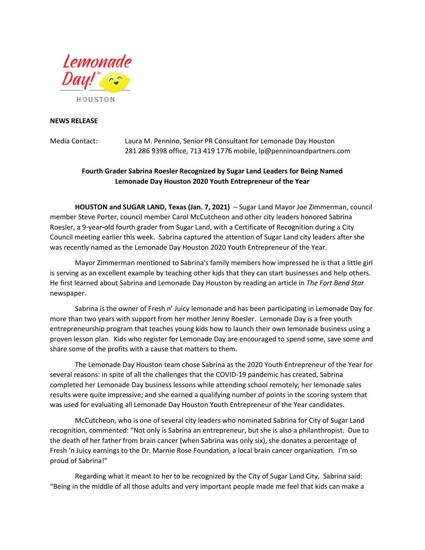

## **NEWS RELEASE**

Media Contact: Laura M. Pennino, Senior PR Consultant for Lemonade Day Houston 281 286 9398 office, 713 419 1776 mobile, lp@penninoandpartners.com

## **Fourth Grader Sabrina Roesler Recognized by Sugar Land Leaders for Being Named Lemonade Day Houston 2020 Youth Entrepreneur of the Year**

**HOUSTON and SUGAR LAND, Texas (Jan. 7, 2021)** – Sugar Land Mayor Joe Zimmerman, council member Steve Porter, council member Carol McCutcheon and other city leaders honored Sabrina Roesler, a 9-year-old fourth grader from Sugar Land, with a Certificate of Recognition during a City Council meeting earlier this week. Sabrina captured the attention of Sugar Land city leaders after she was recently named as the Lemonade Day Houston 2020 Youth Entrepreneur of the Year.

Mayor Zimmerman mentioned to Sabrina's family members how impressed he is that a little girl is serving as an excellent example by teaching other kids that they can start businesses and help others. He first learned about Sabrina and Lemonade Day Houston by reading an article in *The Fort Bend Star* newspaper.

Sabrina is the owner of Fresh n' Juicy lemonade and has been participating in Lemonade Day for more than two years with support from her mother Jenny Roesler. Lemonade Day is a free youth entrepreneurship program that teaches young kids how to launch their own lemonade business using a proven lesson plan. Kids who register for Lemonade Day are encouraged to spend some, save some and share some of the profits with a cause that matters to them.

The Lemonade Day Houston team chose Sabrina as the 2020 Youth Entrepreneur of the Year for several reasons: in spite of all the challenges that the COVID-19 pandemic has created, Sabrina completed her Lemonade Day business lessons while attending school remotely; her lemonade sales results were quite impressive; and she earned a qualifying number of points in the scoring system that was used for evaluating all Lemonade Day Houston Youth Entrepreneur of the Year candidates.

McCutcheon, who is one of several city leaders who nominated Sabrina for City of Sugar Land recognition, commented: "Not only is Sabrina an entrepreneur, but she is also a philanthropist. Due to the death of her father from brain cancer (when Sabrina was only six), she donates a percentage of Fresh 'n Juicy earnings to the Dr. Marnie Rose Foundation, a local brain cancer organization. I'm so proud of Sabrina!"

Regarding what it meant to her to be recognized by the City of Sugar Land City, Sabrina said: "Being in the middle of all those adults and very important people made me feel that kids can make a